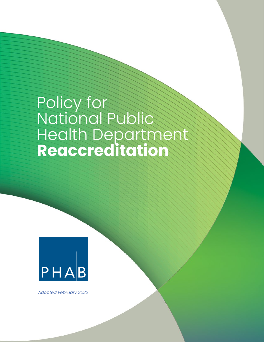# Policy for National Public Health Department **Reaccreditation**



*Adopted February 2022*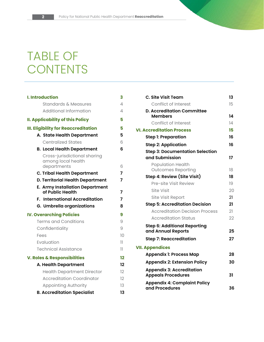# TABLE OF **CONTENTS**

| <b>I. Introduction</b>                                     | 3  |
|------------------------------------------------------------|----|
| <b>Standards &amp; Measures</b>                            | 4  |
| <b>Additional Information</b>                              | 4  |
| <b>II. Applicability of this Policy</b>                    | 5  |
| <b>III. Eligibility for Reaccreditation</b>                | 5  |
| A. State Health Department                                 | 5  |
| <b>Centralized States</b>                                  | 6  |
| <b>B. Local Health Department</b>                          | 6  |
| Cross-jurisdictional sharing<br>among local health         |    |
| departments                                                | 6  |
| <b>C. Tribal Health Department</b>                         | 7  |
| <b>D. Territorial Health Department</b>                    | 7  |
| <b>E. Army Installation Department</b><br>of Public Health | 7  |
|                                                            |    |
| <b>F. International Accreditation</b>                      | 7  |
| G. Umbrella organizations                                  | 8  |
| <b>IV. Overarching Policies</b>                            | 9  |
| <b>Terms and Conditions</b>                                | 9  |
| Confidentiality                                            | 9  |
| Fees                                                       | 10 |
| Evaluation                                                 | 11 |
| <b>Technical Assistance</b>                                | 11 |
| V. Roles & Responsibilities                                | 12 |
| A. Health Department                                       | 12 |
| <b>Health Department Director</b>                          | 12 |
| <b>Accreditation Coordinator</b>                           | 12 |
| <b>Appointing Authority</b>                                | 13 |

| C. Site Visit Team                                            | 13 |
|---------------------------------------------------------------|----|
| <b>Conflict of Interest</b>                                   | 15 |
| <b>D. Accreditation Committee</b>                             |    |
| <b>Members</b>                                                | 14 |
| Conflict of Interest                                          | 14 |
| <b>VI. Accreditation Process</b>                              | 15 |
| <b>Step 1: Preparation</b>                                    | 16 |
| <b>Step 2: Application</b>                                    | 16 |
| <b>Step 3: Documentation Selection</b>                        |    |
| and Submission                                                | 17 |
| <b>Population Health</b>                                      |    |
| <b>Outcomes Reporting</b>                                     | 18 |
| Step 4: Review (Site Visit)                                   | 18 |
| Pre-site Visit Review                                         | 19 |
| Site Visit                                                    | 20 |
| <b>Site Visit Report</b>                                      | 21 |
| <b>Step 5: Accreditation Decision</b>                         | 21 |
| <b>Accreditation Decision Process</b>                         | 21 |
| <b>Accreditation Status</b>                                   | 22 |
| <b>Step 6: Additional Reporting</b><br>and Annual Reports     | 25 |
| <b>Step 7: Reaccreditation</b>                                | 27 |
| <b>VII. Appendices</b>                                        |    |
| <b>Appendix 1: Process Map</b>                                | 28 |
| <b>Appendix 2: Extension Policy</b>                           | 30 |
| <b>Appendix 3: Accreditation</b><br><b>Appeals Procedures</b> | 31 |
| <b>Appendix 4: Complaint Policy</b><br>and Procedures         | 36 |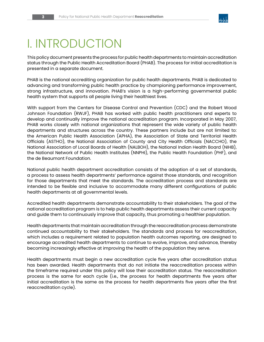

# I. INTRODUCTION

This policy document presents the process for public health departments to maintain accreditation status through the Public Health Accreditation Board (PHAB). The process for initial accreditation is presented in a separate document.

PHAB is the national accrediting organization for public health departments. PHAB is dedicated to advancing and transforming public health practice by championing performance improvement, strong infrastructure, and innovation. PHAB's vision is a high-performing governmental public health system that supports all people living their healthiest lives.

With support from the Centers for Disease Control and Prevention (CDC) and the Robert Wood Johnson Foundation (RWJF), PHAB has worked with public health practitioners and experts to develop and continually improve the national accreditation program. Incorporated in May 2007, PHAB works closely with national organizations that represent the wide variety of public health departments and structures across the country. These partners include but are not limited to: the American Public Health Association (APHA), the Association of State and Territorial Health Officials (ASTHO), the National Association of County and City Health Officials (NACCHO), the National Association of Local Boards of Health (NALBOH), the National Indian Health Board (NIHB), the National Network of Public Health Institutes (NNPHI), the Public Health Foundation (PHF), and the de Beaumont Foundation.

National public health department accreditation consists of the adoption of a set of standards, a process to assess health departments' performance against those standards, and recognition for those departments that meet the standards. The accreditation process and standards are intended to be flexible and inclusive to accommodate many different configurations of public health departments at all governmental levels.

Accredited health departments demonstrate accountability to their stakeholders. The goal of the national accreditation program is to help public health departments assess their current capacity and guide them to continuously improve that capacity, thus promoting a healthier population.

Health departments that maintain accreditation through the reaccreditation process demonstrate continued accountability to their stakeholders. The standards and process for reaccreditation, which includes a requirement related to population health outcomes reporting, are designed to encourage accredited health departments to continue to evolve, improve, and advance, thereby becoming increasingly effective at improving the health of the population they serve.

Health departments must begin a new accreditation cycle five years after accreditation status has been awarded. Health departments that do not initiate the reaccreditation process within the timeframe required under this policy will lose their accreditation status. The reaccreditation process is the same for each cycle (i.e., the process for health departments five years after initial accreditation is the same as the process for health departments five years after the first reaccreditation cycle).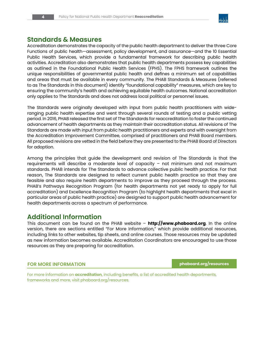

### **Standards & Measures**

Accreditation demonstrates the capacity of the public health department to deliver the three Core Functions of public health—assessment, policy development, and assurance—and the 10 Essential Public Health Services, which provide a fundamental framework for describing public health activities. Accreditation also demonstrates that public health departments possess key capabilities as outlined in the Foundational Public Health Services (FPHS). The FPHS framework outlines the unique responsibilities of governmental public health and defines a minimum set of capabilities and areas that must be available in every community. The PHAB Standards & Measures (referred to as The Standards in this document) identify "foundational capability" measures, which are key to ensuring the community's health and achieving equitable health outcomes. National accreditation only applies to The Standards and does not address local political or personnel issues.

The Standards were originally developed with input from public health practitioners with wideranging public health expertise and went through several rounds of testing and a public vetting period. In 2016, PHAB released the first set of The Standards for reaccreditation to foster the continued advancement of health departments as they maintain their accreditation status. All revisions of The Standards are made with input from public health practitioners and experts and with oversight from the Accreditation Improvement Committee, comprised of practitioners and PHAB Board members. All proposed revisions are vetted in the field before they are presented to the PHAB Board of Directors for adoption.

Among the principles that guide the development and revision of The Standards is that the requirements will describe a moderate level of capacity – not minimum and not maximum standards. PHAB intends for The Standards to advance collective public health practice. For that reason, The Standards are designed to reflect current public health practice so that they are feasible and also require health departments to improve as they proceed through the process. PHAB's Pathways Recognition Program (for health departments not yet ready to apply for full accreditation) and Excellence Recognition Program (to highlight health departments that excel in particular areas of public health practice) are designed to support public health advancement for health departments across a spectrum of performance.

# **Additional Information**

This document can be found on the PHAB website – **http://www.phaboard.org**. In the online version, there are sections entitled "For More Information," which provide additional resources, including links to other websites, tip sheets, and online courses. Those resources may be updated as new information becomes available. Accreditation Coordinators are encouraged to use those resources as they are preparing for accreditation.

**FOR MORE INFORMATION** *[phaboard.org/resources](http://phaboard.org/resources)* 

For more information on **accreditation**, including benefits, a list of accredited health departments, frameworks and more, visit phaboard.org/resources.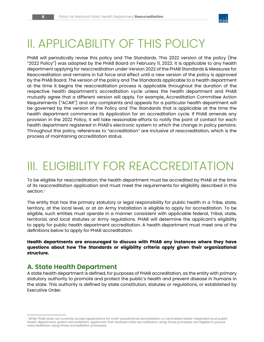

# II. APPLICABILITY OF THIS POLICY

PHAB will periodically revise this policy and The Standards. This 2022 version of the policy (the "2022 Policy") was adopted by the PHAB Board on February 11, 2022. It is applicable to any health department applying for reaccreditation under Version 2022 of the PHAB Standards & Measures for Reaccreditation and remains in full force and effect until a new version of the policy is approved by the PHAB Board. The version of the policy and The Standards applicable to a health department at the time it begins the reaccreditation process is applicable throughout the duration of the respective health department's accreditation cycle unless the health department and PHAB mutually agree that a different version will apply. For example, Accreditation Committee Action Requirements ("ACAR") and any complaints and appeals for a particular health department will be governed by the version of the Policy and The Standards that is applicable at the time the health department commences its Application for an accreditation cycle. If PHAB amends any provision in the 2022 Policy, it will take reasonable efforts to notify the point of contact for each health department registered in PHAB's electronic system to which the change in policy pertains. Throughout this policy, references to "accreditation" are inclusive of reaccreditation, which is the process of maintaining accreditation status.

# III. ELIGIBILITY FOR REACCREDITATION

To be eligible for reaccreditation, the health department must be accredited by PHAB at the time of its reaccreditation application and must meet the requirements for eligibility described in this section.<sup>1</sup>

The entity that has the primary statutory or legal responsibility for public health in a Tribe, state, territory, at the local level, or at an Army Installation is eligible to apply for accreditation. To be eligible, such entities must operate in a manner consistent with applicable federal, Tribal, state, territorial, and local statutes or Army regulations. PHAB will determine the applicant's eligibility to apply for public health department accreditation. A health department must meet one of the definitions below to apply for PHAB accreditation.

**Health departments are encouraged to discuss with PHAB any instances where they have questions about how The Standards or eligibility criteria apply given their organizational structure.**

# **A. State Health Department**

A state health department is defined, for purposes of PHAB accreditation, as the entity with primary statutory authority to promote and protect the public's health and prevent disease in humans in the state. This authority is defined by state constitution, statutes or regulations, or established by Executive Order.

*<sup>1</sup> While PHAB does not currently accept applications for multi-jurisdictional accreditation or centralized states integrated local public health department system accreditation, applicants that received initial accreditation using those processes are eligible to pursue reaccreditation using those accreditation processes.*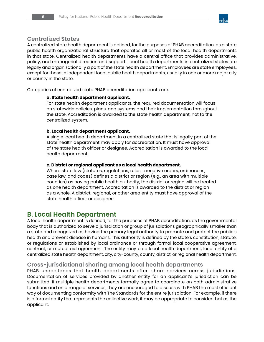

### **Centralized States**

A centralized state health department is defined, for the purposes of PHAB accreditation, as a state public health organizational structure that operates all or most of the local health departments in that state. Centralized health departments have a central office that provides administrative, policy, and managerial direction and support. Local health departments in centralized states are legally and organizationally a part of the state health department. Employees are state employees, except for those in independent local public health departments, usually in one or more major city or county in the state.

Categories of centralized state PHAB accreditation applicants are:

#### **a. State health department applicant.**

For state health department applicants, the required documentation will focus on statewide policies, plans, and systems and their implementation throughout the state. Accreditation is awarded to the state health department, not to the centralized system.

#### **b. Local health department applicant.**

A single local health department in a centralized state that is legally part of the state health department may apply for accreditation. It must have approval of the state health officer or designee. Accreditation is awarded to the local health department.

#### **c. District or regional applicant as a local health department.**

Where state law (statutes, regulations, rules, executive orders, ordinances, case law, and codes) defines a district or region (e.g., an area with multiple counties) as having public health authority, the district or region will be treated as one health department. Accreditation is awarded to the district or region as a whole. A district, regional, or other area entity must have approval of the state health officer or designee.

# **B. Local Health Department**

A local health department is defined, for the purposes of PHAB accreditation, as the governmental body that is authorized to serve a jurisdiction or group of jurisdictions geographically smaller than a state and recognized as having the primary legal authority to promote and protect the public's health and prevent disease in humans. This authority is defined by the state's constitution, statute, or regulations or established by local ordinance or through formal local cooperative agreement, contract, or mutual aid agreement. The entity may be a local health department, local entity of a centralized state health department, city, city-county, county, district, or regional health department.

# **Cross-jurisdictional sharing among local health departments**

PHAB understands that health departments often share services across jurisdictions. Documentation of services provided by another entity for an applicant's jurisdiction can be submitted. If multiple health departments formally agree to coordinate on both administrative functions and on a range of services, they are encouraged to discuss with PHAB the most efficient way of documenting conformity with The Standards for the entire jurisdiction. For example, if there is a formal entity that represents the collective work, it may be appropriate to consider that as the applicant.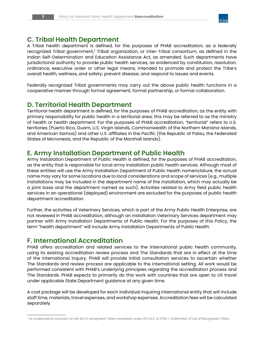

# **C. Tribal Health Department**

A Tribal health department is defined, for the purposes of PHAB accreditation, as a federally recognized Tribal government,<sup>2</sup> Tribal organization, or inter-Tribal consortium, as defined in the Indian Self-Determination and Education Assistance Act, as amended. Such departments have jurisdictional authority to provide public health services, as evidenced by constitution, resolution, ordinance, executive order or other legal means, intended to promote and protect the Tribe's overall health, wellness, and safety; prevent disease; and respond to issues and events.

Federally recognized Tribal governments may carry out the above public health functions in a cooperative manner through formal agreement, formal partnership, or formal collaboration.

# **D. Territorial Health Department**

Territorial health department is defined, for the purposes of PHAB accreditation, as the entity with primary responsibility for public health in a territorial area; this may be referred to as the ministry of health or health department. For the purposes of PHAB accreditation, "territorial" refers to U.S. territories (Puerto Rico, Guam, U.S. Virgin Islands, Commonwealth of the Northern Mariana Islands, and American Samoa) and other U.S. affiliates in the Pacific (the Republic of Palau, the Federated States of Micronesia, and the Republic of the Marshall Islands).

## **E. Army Installation Department of Public Health**

Army Installation Department of Public Health is defined, for the purposes of PHAB accreditation, as the entity that is responsible for local army installation public health services. Although most of these entities will use the Army Installation Department of Public Health nomenclature, the actual name may vary for some locations due to local considerations and scope of services (e.g., multiple installations may be included in the department name of the installation, which may actually be a joint base and the department named as such). Activities related to Army field public health services in an operational (deployed) environment are excluded for the purposes of public health department accreditation.

Further, the activities of Veterinary Services, which is part of the Army Public Health Enterprise, are not reviewed in PHAB accreditation, although an installation Veterinary Services department may partner with Army Installation Departments of Public Health. For the purposes of this Policy, the term "health department" will include Army Installation Departments of Public Health.

# **F. International Accreditation**

PHAB offers accreditation and related services to the international public health community, using its existing accreditation review process and The Standards that are in effect at the time of the international inquiry. PHAB will provide initial consultation services to ascertain whether The Standards and review process are applicable to the international setting. All work would be performed consistent with PHAB's underlying principles regarding the accreditation process and The Standards. PHAB expects to primarily do this work with countries that are open to US travel under applicable State Department guidance at any given time.

A cost package will be developed for each individual inquiring international entity that will include staff time, materials, travel expenses, and workshop expenses. Accreditation fees will be calculated separately.

*<sup>2</sup> As evidenced by inclusion on the list of recognized Tribes mandated under 25 U.S.C. § 479a-1. Publication of List of Recognized Tribes.*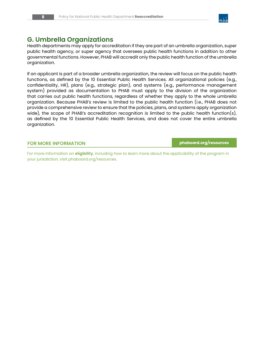

# **G. Umbrella Organizations**

Health departments may apply for accreditation if they are part of an umbrella organization, super public health agency, or super agency that oversees public health functions in addition to other governmental functions. However, PHAB will accredit only the public health function of the umbrella organization.

If an applicant is part of a broader umbrella organization, the review will focus on the public health functions, as defined by the 10 Essential Public Health Services. All organizational policies (e.g., confidentiality, HR), plans (e.g., strategic plan), and systems (e.g., performance management system) provided as documentation to PHAB must apply to the division of the organization that carries out public health functions, regardless of whether they apply to the whole umbrella organization. Because PHAB's review is limited to the public health function (i.e., PHAB does not provide a comprehensive review to ensure that the policies, plans, and systems apply organization wide), the scope of PHAB's accreditation recognition is limited to the public health function(s), as defined by the 10 Essential Public Health Services, and does not cover the entire umbrella organization.

#### **FOR MORE INFORMATION [phaboard.org/resources](http://phaboard.org/resources)**

For more information on **eligibility**, including how to learn more about the applicability of the program in your jurisdiction, visit [phaboard.org/resources](http://phaboard.org/resources).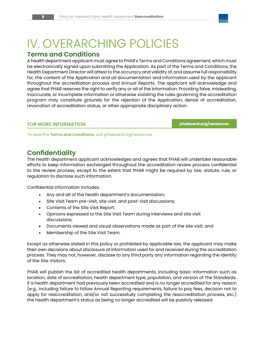# IV. OVERARCHING POLICIES

# **Terms and Conditions**

A health department applicant must agree to PHAB's Terms and Conditions agreement, which must be electronically signed upon submitting the Application. As part of the Terms and Conditions, the Health Department Director will attest to the accuracy and validity of, and assume full responsibility for, the content of the Application and all documentation and information used by the applicant throughout the accreditation process and Annual Reports. The applicant will acknowledge and agree that PHAB reserves the right to verify any or all of the information. Providing false, misleading, inaccurate, or incomplete information or otherwise violating the rules governing the accreditation program may constitute grounds for the rejection of the Application, denial of accreditation, revocation of accreditation status, or other appropriate disciplinary action.

#### **FOR MORE INFORMATION [phaboard.org/resources](http://phaboard.org/resources)**

To read the **Terms and Conditions**, visit [phaboard.org/resources](http://phaboard.org/resources).

# **Confidentiality**

The health department applicant acknowledges and agrees that PHAB will undertake reasonable efforts to keep information exchanged throughout the accreditation review process confidential to the review process, except to the extent that PHAB might be required by law, statute, rule, or regulation to disclose such information.

Confidential information includes:

- Any and all of the health department's documentation;
- Site Visit Team pre-visit, site visit, and post-visit discussions;
- Contents of the Site Visit Report;
- Opinions expressed to the Site Visit Team during interviews and site visit discussions;
- Documents viewed and visual observations made as part of the site visit; and
- Membership of the Site Visit Team.

Except as otherwise stated in this policy or prohibited by applicable law, the applicant may make their own decisions about disclosure of information used for and received during the accreditation process. They may not, however, disclose to any third party any information regarding the identity of the Site Visitors.

PHAB will publish the list of accredited health departments, including basic information such as location, date of accreditation, health department type, population, and version of The Standards. If a health department had previously been accredited and is no longer accredited for any reason (e.g., including failure to follow Annual Reporting requirements, failure to pay fees, decision not to apply for reaccreditation, and/or not successfully completing the reaccreditation process, etc.) the health department's status as being no longer accredited will be publicly released.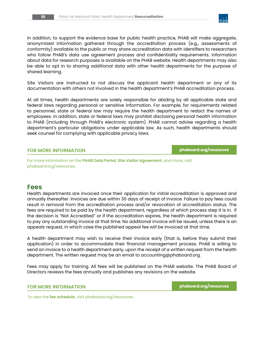

In addition, to support the evidence base for public health practice, PHAB will make aggregate, anonymized information gathered through the accreditation process (e.g., assessments of conformity) available to the public or may share accreditation data with identifiers to researchers who follow PHAB's data use agreement process and confidentiality requirements. Information about data for research purposes is available on the PHAB website. Health departments may also be able to opt in to sharing additional data with other health departments for the purpose of shared learning.

Site Visitors are instructed to not discuss the applicant health department or any of its documentation with others not involved in the health department's PHAB accreditation process.

At all times, health departments are solely responsible for abiding by all applicable state and federal laws regarding personal or sensitive information. For example, for requirements related to personnel, state or federal law may require the health department to redact the names of employees. In addition, state or federal laws may prohibit disclosing personal health information to PHAB (including through PHAB's electronic system). PHAB cannot advise regarding a health department's particular obligations under applicable law. As such, health departments should seek counsel for complying with applicable privacy laws.

#### **FOR MORE INFORMATION [phaboard.org/resources](http://phaboard.org/resources)**

For more information on the **PHAB Data Portal**, **Site Visitor Agreement**, and more, visit phaboard.org/resources.

#### **Fees**

Health departments are invoiced once their application for initial accreditation is approved and annually thereafter. Invoices are due within 30 days of receipt of invoice. Failure to pay fees could result in removal from the accreditation process and/or revocation of accreditation status. The fees are required to be paid by the health department, regardless of which process step it is in. If the decision is "Not Accredited" or if the accreditation expires, the health department is required to pay any outstanding invoice at that time. No additional invoice will be issued, unless there is an appeals request, in which case the published appeal fee will be invoiced at that time.

A health department may wish to receive their invoice early (that is, before they submit their application) in order to accommodate their financial management process. PHAB is willing to send an invoice to a health department early, upon the receipt of a written request from the health department. The written request may be an email to accounting@phaboard.org.

Fees may apply for training. All fees will be published on the PHAB website. The PHAB Board of Directors reviews the fees annually and publishes any revisions on the website.

#### **FOR MORE INFORMATION [phaboard.org/resources](http://phaboard.org/resources)**

To view the **fee schedule**, visit [phaboard.org/resources.](http://phaboard.org/resources)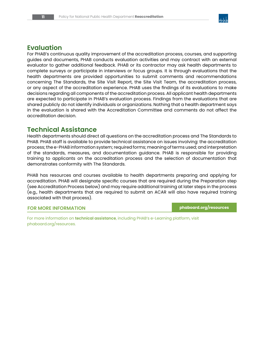

# **Evaluation**

For PHAB's continuous quality improvement of the accreditation process, courses, and supporting guides and documents, PHAB conducts evaluation activities and may contract with an external evaluator to gather additional feedback. PHAB or its contractor may ask health departments to complete surveys or participate in interviews or focus groups. It is through evaluations that the health departments are provided opportunities to submit comments and recommendations concerning The Standards, the Site Visit Report, the Site Visit Team, the accreditation process, or any aspect of the accreditation experience. PHAB uses the findings of its evaluations to make decisions regarding all components of the accreditation process. All applicant health departments are expected to participate in PHAB's evaluation process. Findings from the evaluations that are shared publicly do not identify individuals or organizations. Nothing that a health department says in the evaluation is shared with the Accreditation Committee and comments do not affect the accreditation decision.

# **Technical Assistance**

Health departments should direct all questions on the accreditation process and The Standards to PHAB. PHAB staff is available to provide technical assistance on issues involving: the accreditation process; the e-PHAB information system; required forms; meaning of terms used; and interpretation of the standards, measures, and documentation guidance. PHAB is responsible for providing training to applicants on the accreditation process and the selection of documentation that demonstrates conformity with The Standards.

PHAB has resources and courses available to health departments preparing and applying for accreditation. PHAB will designate specific courses that are required during the Preparation step (see Accreditation Process below) and may require additional training at later steps in the process (e.g., health departments that are required to submit an ACAR will also have required training associated with that process).

#### **FOR MORE INFORMATION [phaboard.org/resources](http://phaboard.org/resources)**

For more information on **technical assistance**, including PHAB's e-Learning platform, visit [phaboard.org/resources.](http://phaboard.org/resources)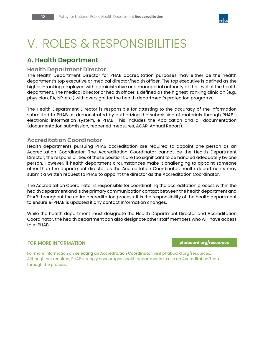

# V. ROLES & RESPONSIBILITIES

# **A. Health Department**

#### **Health Department Director**

The Health Department Director for PHAB accreditation purposes may either be the health department's top executive or medical director/health officer. The top executive is defined as the highest-ranking employee with administrative and managerial authority at the level of the health department. The medical director or health officer is defined as the highest-ranking clinician (e.g., physician, PA, NP, etc.) with oversight for the health department's protection programs.

The Health Department Director is responsible for attesting to the accuracy of the information submitted to PHAB as demonstrated by authorizing the submission of materials through PHAB's electronic information system, e-PHAB. This includes the Application and all documentation (documentation submission, reopened measures, ACAR, Annual Report).

#### **Accreditation Coordinator**

Health departments pursuing PHAB accreditation are required to appoint one person as an Accreditation Coordinator. The Accreditation Coordinator cannot be the Health Department Director; the responsibilities of these positions are too significant to be handled adequately by one person. However, if health department circumstances make it challenging to appoint someone other than the department director as the Accreditation Coordinator, health departments may submit a written request to PHAB to appoint the director as the Accreditation Coordinator.

The Accreditation Coordinator is responsible for coordinating the accreditation process within the health department and is the primary communication contact between the health department and PHAB throughout the entire accreditation process. It is the responsibility of the health department to ensure e-PHAB is updated if any contact information changes.

While the health department must designate the Health Department Director and Accreditation Coordinator, the health department can also designate other staff members who will have access to e-PHAB.

#### **FOR MORE INFORMATION [phaboard.org/resources](http://phaboard.org/resources)**

For more information on **selecting an Accreditation Coordinator**, visit phaboard.org/resources. Although not required, PHAB strongly encourages health departments to use an Accreditation Team through the process.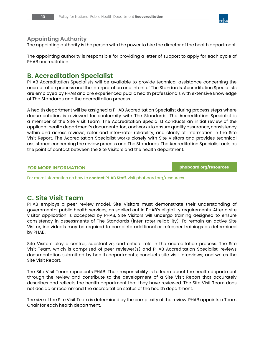

#### **Appointing Authority**

The appointing authority is the person with the power to hire the director of the health department.

The appointing authority is responsible for providing a letter of support to apply for each cycle of PHAB accreditation.

### **B. Accreditation Specialist**

PHAB Accreditation Specialists will be available to provide technical assistance concerning the accreditation process and the interpretation and intent of The Standards. Accreditation Specialists are employed by PHAB and are experienced public health professionals with extensive knowledge of The Standards and the accreditation process.

A health department will be assigned a PHAB Accreditation Specialist during process steps where documentation is reviewed for conformity with The Standards. The Accreditation Specialist is a member of the Site Visit Team. The Accreditation Specialist conducts an initial review of the applicant health department's documentation, and works to ensure quality assurance, consistency within and across reviews, rater and inter-rater reliability, and clarity of information in the Site Visit Report. The Accreditation Specialist works closely with Site Visitors and provides technical assistance concerning the review process and The Standards. The Accreditation Specialist acts as the point of contact between the Site Visitors and the health department.

#### **FOR MORE INFORMATION** *[phaboard.org/resources](http://phaboard.org/resources)*

For more information on how to **contact PHAB Staff**, visit [phaboard.org/resources](http://phaboard.org/resources).

# **C. Site Visit Team**

PHAB employs a peer review model. Site Visitors must demonstrate their understanding of governmental public health services, as spelled out in PHAB's eligibility requirements. After a site visitor application is accepted by PHAB, Site Visitors will undergo training designed to ensure consistency in assessments of The Standards (inter-rater reliability). To remain an active Site Visitor, individuals may be required to complete additional or refresher trainings as determined by PHAB.

Site Visitors play a central, substantive, and critical role in the accreditation process. The Site Visit Team, which is comprised of peer reviewer(s) and PHAB Accreditation Specialist, reviews documentation submitted by health departments; conducts site visit interviews; and writes the Site Visit Report.

The Site Visit Team represents PHAB. Their responsibility is to learn about the health department through the review and contribute to the development of a Site Visit Report that accurately describes and reflects the health department that they have reviewed. The Site Visit Team does not decide or recommend the accreditation status of the health department.

The size of the Site Visit Team is determined by the complexity of the review. PHAB appoints a Team Chair for each health department.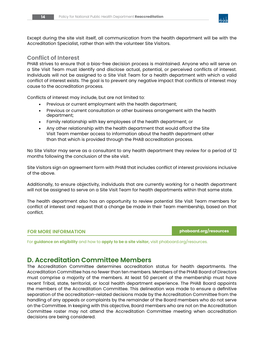

Except during the site visit itself, all communication from the health department will be with the Accreditation Specialist, rather than with the volunteer Site Visitors.

#### **Conflict of Interest**

PHAB strives to ensure that a bias-free decision process is maintained. Anyone who will serve on a Site Visit Team must identify and disclose actual, potential, or perceived conflicts of interest. Individuals will not be assigned to a Site Visit Team for a health department with which a valid conflict of interest exists. The goal is to prevent any negative impact that conflicts of interest may cause to the accreditation process.

Conflicts of interest may include, but are not limited to:

- Previous or current employment with the health department;
- Previous or current consultation or other business arrangement with the health department;
- Family relationship with key employees of the health department; or
- Any other relationship with the health department that would afford the Site Visit Team member access to information about the health department other than that which is provided through the PHAB accreditation process.

No Site Visitor may serve as a consultant to any health department they review for a period of 12 months following the conclusion of the site visit.

Site Visitors sign an agreement form with PHAB that includes conflict of interest provisions inclusive of the above.

Additionally, to ensure objectivity, individuals that are currently working for a health department will not be assigned to serve on a Site Visit Team for health departments within that same state.

The health department also has an opportunity to review potential Site Visit Team members for conflict of interest and request that a change be made in their Team membership, based on that conflict.

#### **FOR MORE INFORMATION [phaboard.org/resources](http://phaboard.org/resources)**

For **guidance on eligibility** and how to **apply to be a site visitor,** visit [phaboard.org/resources.](http://phaboard.org/resources)

# **D. Accreditation Committee Members**

The Accreditation Committee determines accreditation status for health departments. The Accreditation Committee has no fewer than ten members. Members of the PHAB Board of Directors must comprise a majority of the members. At least 50 percent of the membership must have recent Tribal, state, territorial, or local health department experience. The PHAB Board appoints the members of the Accreditation Committee. This delineation was made to ensure a definitive separation of the accreditation-related decisions made by the Accreditation Committee from the handling of any appeals or complaints by the remainder of the Board members who do not serve on the Committee. In keeping with this objective, Board members who are not on the Accreditation Committee roster may not attend the Accreditation Committee meeting when accreditation decisions are being considered.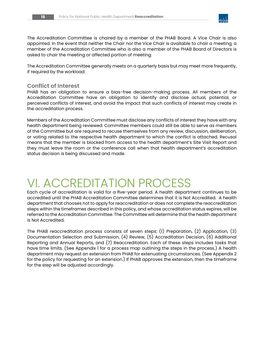

The Accreditation Committee is chaired by a member of the PHAB Board. A Vice Chair is also appointed. In the event that neither the Chair nor the Vice Chair is available to chair a meeting, a member of the Accreditation Committee who is also a member of the PHAB Board of Directors is asked to chair the meeting or affected portion of meeting.

The Accreditation Committee generally meets on a quarterly basis but may meet more frequently, if required by the workload.

#### **Conflict of Interest**

PHAB has an obligation to ensure a bias-free decision-making process. All members of the Accreditation Committee have an obligation to identify and disclose actual, potential, or perceived conflicts of interest, and avoid the impact that such conflicts of interest may create in the accreditation process.

Members of the Accreditation Committee must disclose any conflicts of interest they have with any health department being reviewed. Committee members could still be able to serve as members of the Committee but are required to recuse themselves from any review, discussion, deliberation, or voting related to the respective health department to which the conflict is attached. Recusal means that the member is blocked from access to the health department's Site Visit Report and they must leave the room or the conference call when that health department's accreditation status decision is being discussed and made.

# VI. ACCREDITATION PROCESS

Each cycle of accreditation is valid for a five-year period. A health department continues to be accredited until the PHAB Accreditation Committee determines that it is Not Accredited. A health department that chooses not to apply for reaccreditation or does not complete the reaccreditation steps within the timeframes described in this policy, and whose accreditation status expires, will be referred to the Accreditation Committee. The Committee will determine that the health department is Not Accredited.

The PHAB reaccreditation process consists of seven steps: (1) Preparation, (2) Application, (3) Documentation Selection and Submission, (4) Review, (5) Accreditation Decision, (6) Additional Reporting and Annual Reports, and (7) Reaccreditation. Each of these steps includes tasks that have time limits. (See Appendix 1 for a process map outlining the steps in the process.) A health department may request an extension from PHAB for extenuating circumstances. (See Appendix 2 for the policy for requesting for an extension.) If PHAB approves the extension, then the timeframe for the step will be adjusted accordingly.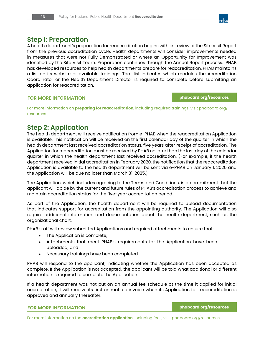

### **Step 1: Preparation**

A health department's preparation for reaccreditation begins with its review of the Site Visit Report from the previous accreditation cycle. Health departments will consider improvements needed in measures that were not Fully Demonstrated or where an Opportunity for Improvement was identified by the Site Visit Team. Preparation continues through the Annual Report process. PHAB has developed resources to help health departments prepare for reaccreditation. PHAB maintains a list on its website of available trainings. That list indicates which modules the Accreditation Coordinator or the Health Department Director is required to complete before submitting an application for reaccreditation.

#### **FOR MORE INFORMATION** *phaboard.org/resources*

For more information on **preparing for reaccreditation**, including required trainings, visit [phaboard.org/](http://phaboard.org/resources) [resources](http://phaboard.org/resources).

### **Step 2: Application**

The health department will receive notification from e-PHAB when the reaccreditation Application is available. This notification will be received on the first calendar day of the quarter in which the health department last received accreditation status, five years after receipt of accreditation. The Application for reaccreditation must be received by PHAB no later than the last day of the calendar quarter in which the health department last received accreditation. (For example, if the health department received initial accreditation in February 2020, the notification that the reaccreditation Application is available to the health department will be sent via e-PHAB on January 1, 2025 and the Application will be due no later than March 31, 2025.)

The Application, which includes agreeing to the Terms and Conditions, is a commitment that the applicant will abide by the current and future rules of PHAB's accreditation process to achieve and maintain accreditation status for the five-year accreditation period.

As part of the Application, the health department will be required to upload documentation that indicates support for accreditation from the appointing authority. The Application will also require additional information and documentation about the health department, such as the organizational chart.

PHAB staff will review submitted Applications and required attachments to ensure that:

- The Application is complete;
- Attachments that meet PHAB's requirements for the Application have been uploaded; and
- Necessary trainings have been completed.

PHAB will respond to the applicant, indicating whether the Application has been accepted as complete. If the Application is not accepted, the applicant will be told what additional or different information is required to complete the Application.

If a health department was not put on an annual fee schedule at the time it applied for initial accreditation, it will receive its first annual fee invoice when its Application for reaccreditation is approved and annually thereafter.

#### **FOR MORE INFORMATION** *phaboard.org/resources*

For more information on the **accreditation application**, including fees, visit [phaboard.org/resources.](http://phaboard.org/resources)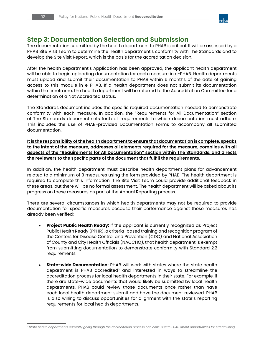

# **Step 3: Documentation Selection and Submission**

The documentation submitted by the health department to PHAB is critical. It will be assessed by a PHAB Site Visit Team to determine the health department's conformity with The Standards and to develop the Site Visit Report, which is the basis for the accreditation decision.

After the health department's Application has been approved, the applicant health department will be able to begin uploading documentation for each measure in e-PHAB. Health departments must upload and submit their documentation to PHAB within 6 months of the date of gaining access to this module in e-PHAB. If a health department does not submit its documentation within the timeframe, the health department will be referred to the Accreditation Committee for a determination of a Not Accredited status.

The Standards document includes the specific required documentation needed to demonstrate conformity with each measure. In addition, the "Requirements for All Documentation" section of The Standards document sets forth all requirements to which documentation must adhere. This includes the use of PHAB-provided Documentation Forms to accompany all submitted documentation.

**It is the responsibility of the health department to ensure that documentation is complete, speaks to the intent of the measure, addresses all elements required for the measure, complies with all aspects of the "Requirements for All Documentation" section within The Standards, and directs the reviewers to the specific parts of the document that fulfill the requirements.** 

In addition, the health department must describe health department plans for advancement related to a minimum of 3 measures using the form provided by PHAB. The health department is required to complete this information. The Site Visit Team could provide additional feedback in these areas, but there will be no formal assessment. The health department will be asked about its progress on these measures as part of the Annual Reporting process.

There are several circumstances in which health departments may not be required to provide documentation for specific measures because their performance against those measures has already been verified:

- **• Project Public Health Ready:** If the applicant is currently recognized as Project Public Health Ready (PPHR), a criteria-based training and recognition program of the Centers for Disease Control and Prevention (CDC) and National Association of County and City Health Officials (NACCHO), that health department is exempt from submitting documentation to demonstrate conformity with Standard 2.2 requirements.
- **• State-wide Documentation:** PHAB will work with states where the state health department is PHAB accredited<sup>3</sup> and interested in ways to streamline the accreditation process for local health departments in their state. For example, if there are state-wide documents that would likely be submitted by local health departments, PHAB could review those documents once rather than have each local health department submit and have the document reviewed. PHAB is also willing to discuss opportunities for alignment with the state's reporting requirements for local health departments.

*<sup>3</sup> State health departments currently going through the accreditation process can consult with PHAB about opportunities for streamlining.*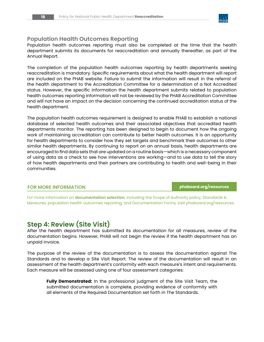

#### **Population Health Outcomes Reporting**

Population health outcomes reporting must also be completed at the time that the health department submits its documents for reaccreditation and annually thereafter, as part of the Annual Report.

The completion of the population health outcomes reporting by health departments seeking reaccreditation is mandatory. Specific requirements about what the health department will report are included on the PHAB website. Failure to submit the information will result in the referral of the health department to the Accreditation Committee for a determination of a Not Accredited status. However, the specific information the health department submits related to population health outcomes reporting information will not be reviewed by the PHAB Accreditation Committee and will not have an impact on the decision concerning the continued accreditation status of the health department.

The population health outcomes requirement is designed to enable PHAB to establish a national database of selected health outcomes and their associated objectives that accredited health departments monitor. The reporting has been designed to begin to document how the ongoing work of maintaining accreditation can contribute to better health outcomes. It is an opportunity for health departments to consider how they set targets and benchmark their outcomes to other similar health departments. By continuing to report on an annual basis, health departments are encouraged to find data sets that are updated on a routine basis—which is a necessary component of using data as a check to see how interventions are working—and to use data to tell the story of how health departments and their partners are contributing to health and well-being in their communities.

#### **FOR MORE INFORMATION phaboard.org/resources**

For more information on **documentation selection**, including the Scope of Authority policy, Standards & Measures, population health outcomes reporting, and Documentation Forms, visit [phaboard.org/resources](http://phaboard.org/resources).

# **Step 4: Review (Site Visit)**

After the health department has submitted its documentation for all measures, review of the documentation begins. However, PHAB will not begin the review if the health department has an unpaid invoice.

The purpose of the review of the documentation is to assess the documentation against The Standards and to develop a Site Visit Report. The review of the documentation will result in an assessment of the health department's conformity with each measure's intent and requirements. Each measure will be assessed using one of four assessment categories:

**Fully Demonstrated:** In the professional judgment of the Site Visit Team, the submitted documentation is complete, providing evidence of conformity with all elements of the Required Documentation set forth in The Standards.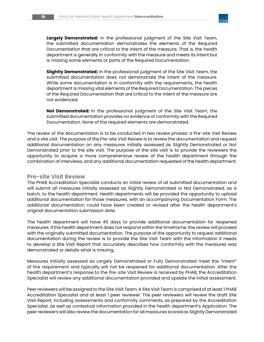

**Largely Demonstrated:** In the professional judgment of the Site Visit Team, the submitted documentation demonstrates the elements of the Required Documentation that are critical to the intent of the measure. That is, the health department is generally in conformity with the measure and meets its intent but is missing some elements or parts of the Required Documentation.

**Slightly Demonstrated:** In the professional judgment of the Site Visit Team, the submitted documentation does not demonstrate the intent of the measure. While some documentation is in conformity with the requirements, the health department is missing vital elements of the Required Documentation. The pieces of the Required Documentation that are critical to the intent of the measure are not evidenced.

**Not Demonstrated:** In the professional judgment of the Site Visit Team, the submitted documentation provides no evidence of conformity with the Required Documentation. None of the required elements are demonstrated.

The review of the documentation is to be conducted in two review phases: a Pre-site Visit Review and a site visit. The purpose of the Pre-site Visit Review is to review the documentation and request additional documentation on any measures initially assessed as Slightly Demonstrated or Not Demonstrated prior to the site visit. The purpose of the site visit is to provide the reviewers the opportunity to acquire a more comprehensive review of the health department through the combination of interviews, and any additional documentation requested of the health department.

#### **Pre-site Visit Review**

The PHAB Accreditation Specialist conducts an initial review of all submitted documentation and will submit all measures initially assessed as Slightly Demonstrated or Not Demonstrated, as a batch, to the health department. Health departments will be provided the opportunity to upload additional documentation for those measures, with an accompanying Documentation Form. The additional documentation could have been created or revised after the health department's original documentation submission date.

The health department will have 45 days to provide additional documentation for reopened measures. If the health department does not respond within the timeframe, the review will proceed with the originally submitted documentation. The purpose of the opportunity to request additional documentation during the review is to provide the Site Visit Team with the information it needs to develop a Site Visit Report that accurately describes how conformity with the measures was demonstrated or details what is missing.

Measures initially assessed as Largely Demonstrated or Fully Demonstrated meet the "intent" of the requirement and typically will not be reopened for additional documentation. After the health department's response to the Pre-site Visit Review is received by PHAB, the Accreditation Specialist will review any additional documentation provided and update the initial assessment.

Peer reviewers will be assigned to the Site Visit Team. A Site Visit Team is comprised of at least 1 PHAB Accreditation Specialist and at least 1 peer reviewer. The peer reviewers will review the draft Site Visit Report, including assessments and conformity comments, as prepared by the Accreditation Specialist, as well as contextual information provided in the health department's Application. The peer reviewers will also review the documentation for all measures scored as Slightly Demonstrated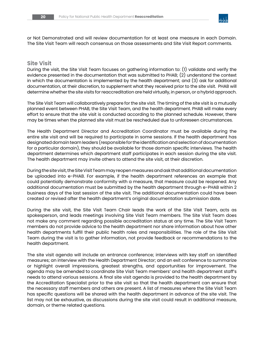

or Not Demonstrated and will review documentation for at least one measure in each Domain. The Site Visit Team will reach consensus on those assessments and Site Visit Report comments.

#### **Site Visit**

During the visit, the Site Visit Team focuses on gathering information to: (1) validate and verify the evidence presented in the documentation that was submitted to PHAB; (2) understand the context in which the documentation is implemented by the health department; and (3) ask for additional documentation, at their discretion, to supplement what they received prior to the site visit. PHAB will determine whether the site visits for reaccreditation are held virtually, in person, or a hybrid approach.

The Site Visit Team will collaboratively prepare for the site visit. The timing of the site visit is a mutually planned event between PHAB, the Site Visit Team, and the health department. PHAB will make every effort to ensure that the site visit is conducted according to the planned schedule. However, there may be times when the planned site visit must be rescheduled due to unforeseen circumstances.

The Health Department Director and Accreditation Coordinator must be available during the entire site visit and will be required to participate in some sessions. If the health department has designated domain team leaders (responsible for the identification and selection of documentation for a particular domain), they should be available for those domain specific interviews. The health department determines which department staff participates in each session during the site visit. The health department may invite others to attend the site visit, at their discretion.

During the site visit, the Site Visit Team may reopen measures and ask that additional documentation be uploaded into e-PHAB. For example, if the health department references an example that could potentially demonstrate conformity with a measure, that measure could be reopened. Any additional documentation must be submitted by the health department through e-PHAB within 2 business days of the last session of the site visit. The additional documentation could have been created or revised after the health department's original documentation submission date.

During the site visit, the Site Visit Team Chair leads the work of the Site Visit Team, acts as spokesperson, and leads meetings involving Site Visit Team members. The Site Visit Team does not make any comment regarding possible accreditation status at any time. The Site Visit Team members do not provide advice to the health department nor share information about how other health departments fulfill their public health roles and responsibilities. The role of the Site Visit Team during the visit is to gather information, not provide feedback or recommendations to the health department.

The site visit agenda will include an entrance conference; interviews with key staff on identified measures; an interview with the Health Department Director; and an exit conference to summarize or highlight overall impressions, greatest strengths, and opportunities for improvement. The agenda may be amended to coordinate Site Visit Team members' and health department staff's needs to attend various sessions. A final site visit agenda is provided to the health department by the Accreditation Specialist prior to the site visit so that the health department can ensure that the necessary staff members and others are present. A list of measures where the Site Visit Team has specific questions will be shared with the health department in advance of the site visit. The list may not be exhaustive, as discussions during the site visit could result in additional measure, domain, or theme related questions.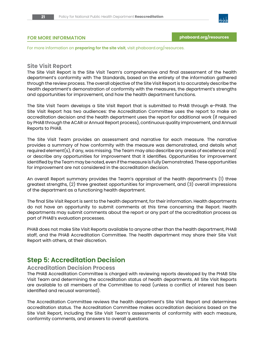

#### **FOR MORE INFORMATION** *[phaboard.org/resources](http://phaboard.org/resources)*

For more information on **preparing for the site visit**, visit [phaboard.org/resources](http://phaboard.org/resources).

#### **Site Visit Report**

The Site Visit Report is the Site Visit Team's comprehensive and final assessment of the health department's conformity with The Standards, based on the entirety of the information gathered through the review process. The overall objective of the Site Visit Report is to accurately describe the health department's demonstration of conformity with the measures, the department's strengths and opportunities for improvement, and how the health department functions.

The Site Visit Team develops a Site Visit Report that is submitted to PHAB through e-PHAB. The Site Visit Report has two audiences: the Accreditation Committee uses the report to make an accreditation decision and the health department uses the report for additional work (if required by PHAB through the ACAR or Annual Report process), continuous quality improvement, and Annual Reports to PHAB.

The Site Visit Team provides an assessment and narrative for each measure. The narrative provides a summary of how conformity with the measure was demonstrated, and details what required element(s), if any, was missing. The Team may also describe any areas of excellence and/ or describe any opportunities for improvement that it identifies. Opportunities for improvement identified by the Team may be noted, even if the measure is Fully Demonstrated. These opportunities for improvement are not considered in the accreditation decision.

An overall Report summary provides the Team's appraisal of the health department's (1) three greatest strengths, (2) three greatest opportunities for improvement, and (3) overall impressions of the department as a functioning health department.

The final Site Visit Report is sent to the health department, for their information. Health departments do not have an opportunity to submit comments at this time concerning the Report. Health departments may submit comments about the report or any part of the accreditation process as part of PHAB's evaluation processes.

PHAB does not make Site Visit Reports available to anyone other than the health department, PHAB staff, and the PHAB Accreditation Committee. The health department may share their Site Visit Report with others, at their discretion.

# **Step 5: Accreditation Decision**

#### **Accreditation Decision Process**

The PHAB Accreditation Committee is charged with reviewing reports developed by the PHAB Site Visit Team and determining the accreditation status of health departments. All Site Visit Reports are available to all members of the Committee to read (unless a conflict of interest has been identified and recusal warranted).

The Accreditation Committee reviews the health department's Site Visit Report and determines accreditation status. The Accreditation Committee makes accreditation decisions based on the Site Visit Report, including the Site Visit Team's assessments of conformity with each measure, conformity comments, and answers to overall questions.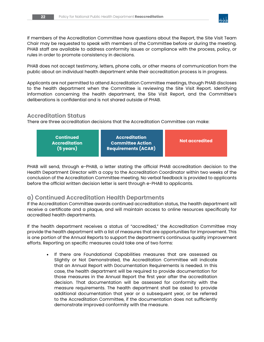

If members of the Accreditation Committee have questions about the Report, the Site Visit Team Chair may be requested to speak with members of the Committee before or during the meeting. PHAB staff are available to address conformity issues or compliance with the process, policy, or rules in order to promote consistency in decisions.

PHAB does not accept testimony, letters, phone calls, or other means of communication from the public about an individual health department while their accreditation process is in progress.

Applicants are not permitted to attend Accreditation Committee meetings, though PHAB discloses to the health department when the Committee is reviewing the Site Visit Report. Identifying information concerning the health department, the Site Visit Report, and the Committee's deliberations is confidential and is not shared outside of PHAB.

#### **Accreditation Status**

There are three accreditation decisions that the Accreditation Committee can make:

| <b>Continued</b><br><b>Accreditation</b><br>(5 years) | <b>Accreditation</b><br>Committee Action<br><b>Requirements (ACAR)</b> | Not accredited |
|-------------------------------------------------------|------------------------------------------------------------------------|----------------|
|                                                       |                                                                        |                |

PHAB will send, through e-PHAB, a letter stating the official PHAB accreditation decision to the Health Department Director with a copy to the Accreditation Coordinator within two weeks of the conclusion of the Accreditation Committee meeting. No verbal feedback is provided to applicants before the official written decision letter is sent through e-PHAB to applicants.

### **a) Continued Accreditation Health Departments**

If the Accreditation Committee awards continued accreditation status, the health department will receive a certificate and a plaque, and will maintain access to online resources specifically for accredited health departments.

If the health department receives a status of "accredited," the Accreditation Committee may provide the health department with a list of measures that are opportunities for improvement. This is one portion of the Annual Reports to support the department's continuous quality improvement efforts. Reporting on specific measures could take one of two forms:

If there are Foundational Capabilities measures that are assessed as Slightly or Not Demonstrated, the Accreditation Committee will indicate that an Annual Report with Documentation Requirements is needed. In this case, the health department will be required to provide documentation for those measures in the Annual Report the first year after the accreditation decision. That documentation will be assessed for conformity with the measure requirements. The health department shall be asked to provide additional documentation that year or a subsequent year, or be referred to the Accreditation Committee, if the documentation does not sufficiently demonstrate improved conformity with the measure.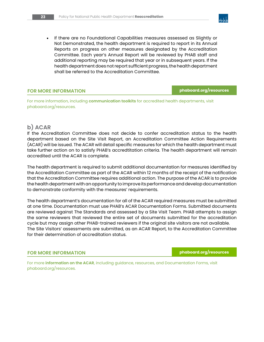• If there are no Foundational Capabilities measures assessed as Slightly or Not Demonstrated, the health department is required to report in its Annual Reports on progress on other measures designated by the Accreditation Committee. Each year's Annual Report will be reviewed by PHAB staff and additional reporting may be required that year or in subsequent years. If the health department does not report sufficient progress, the health department shall be referred to the Accreditation Committee.

#### **FOR MORE INFORMATION** *phaboard.org/resources*

For more information, including **communication toolkits** for accredited health departments, visit [phaboard.org/resources.](http://phaboard.org/resources)

### **b) ACAR**

If the Accreditation Committee does not decide to confer accreditation status to the health department based on the Site Visit Report, an Accreditation Committee Action Requirements (ACAR) will be issued. The ACAR will detail specific measures for which the health department must take further action on to satisfy PHAB's accredtitation criteria. The health department will remain accredited until the ACAR is complete.

The health department is required to submit additional documentation for measures identified by the Accreditation Committee as part of the ACAR within 12 months of the receipt of the notification that the Accreditation Committee requires additional action. The purpose of the ACAR is to provide the health department with an opportunity to improve its performance and develop documentation to demonstrate conformity with the measures' requirements.

The health department's documentation for all of the ACAR required measures must be submitted at one time. Documentation must use PHAB's ACAR Documentation Forms. Submitted documents are reviewed against The Standards and assessed by a Site Visit Team. PHAB attempts to assign the same reviewers that reviewed the entire set of documents submitted for the accreditation cycle but may assign other PHAB-trained reviewers if the original site visitors are not available. The Site Visitors' assessments are submitted, as an ACAR Report, to the Accreditation Committee for their determination of accreditation status.

**FOR MORE INFORMATION phaboard.org/resources**

For more **information on the ACAR**, including guidance, resources, and Documentation Forms, visit [phaboard.org/resources.](http://phaboard.org/resources)

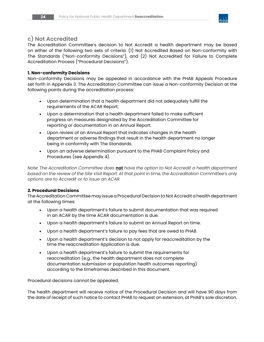

#### **c) Not Accredited**

The Accreditation Committee's decision to Not Accredit a health department may be based on either of the following two sets of criteria: (1) Not Accredited Based on Non-conformity with The Standards ("Non-conformity Decisions"), and (2) Not Accredited for Failure to Complete Accreditation Process ("Procedural Decisions").

#### **1. Non-conformity Decisions**

Non-conformity Decisions may be appealed in accordance with the PHAB Appeals Procedure set forth in Appendix 3. The Accreditation Committee can issue a Non-conformity Decision at the following points during the accreditation process:

- Upon determination that a health department did not adequately fulfill the requirements of the ACAR Report;
- Upon a determination that a health department failed to make sufficient progress on measures designated by the Accreditation Committee for reporting or documentation in an Annual Report.
- Upon review of an Annual Report that indicates changes in the health department or adverse findings that result in the health department no longer being in conformity with The Standards.
- Upon an adverse determination pursuant to the PHAB Complaint Policy and Procedures (see Appendix 4).

*Note: The Accreditation Committee does* **not** *have the option to Not Accredit a health department based on the review of the Site Visit Report. At that point in time, the Accreditation Committee's only options are to Accredit or to issue an ACAR.* 

#### **2. Procedural Decisions**

The Accreditation Committee may issue a Procedural Decision to Not Accredit a health department at the following times:

- Upon a health department's failure to submit documentation that was required in an ACAR by the time ACAR documentation is due.
- Upon a health department's failure to submit an Annual Report on time.
- Upon a health department's failure to pay fees that are owed to PHAB.
- Upon a health department's decision to not apply for reaccreditation by the time the reaccreditation Application is due.
- Upon a health department's failure to submit the requirements for reaccreditation (e.g., the health department does not complete documentation submission or population health outcomes reporting) according to the timeframes described in this document.

Procedural decisions cannot be appealed.

The health department will receive notice of the Procedural Decision and will have 90 days from the date of receipt of such notice to contact PHAB to request an extension, at PHAB's sole discretion.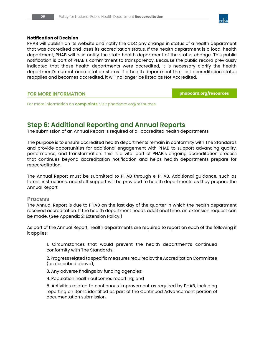

#### **Notification of Decision**

PHAB will publish on its website and notify the CDC any change in status of a health department that was accredited and loses its accreditation status. If the health department is a local health department, PHAB will also notify the state health department of the status change. This public notification is part of PHAB's commitment to transparency. Because the public record previously indicated that those health departments were accredited, it is necessary clarify the health department's current accreditation status. If a health department that lost accreditation status reapplies and becomes accredited, it will no longer be listed as Not Accredited.

#### **FOR MORE INFORMATION phaboard.org/resources**

For more information on **complaints**, visit [phaboard.org/resources.](http://phaboard.org/resources.)

# **Step 6: Additional Reporting and Annual Reports**

The submission of an Annual Report is required of all accredited health departments.

The purpose is to ensure accredited health departments remain in conformity with The Standards and provide opportunities for additional engagement with PHAB to support advancing quality, performance, and transformation. This is a vital part of PHAB's ongoing accreditation process that continues beyond accreditation notification and helps health departments prepare for reaccreditation.

The Annual Report must be submitted to PHAB through e-PHAB. Additional guidance, such as forms, instructions, and staff support will be provided to health departments as they prepare the Annual Report.

#### **Process**

The Annual Report is due to PHAB on the last day of the quarter in which the health department received accreditation. If the health department needs additional time, an extension request can be made. (See Appendix 2: Extension Policy.)

As part of the Annual Report, health departments are required to report on each of the following if it applies:

1. Circumstances that would prevent the health department's continued conformity with The Standards;

2. Progress related to specific measures required by the Accreditation Committee (as described above);

3. Any adverse findings by funding agencies;

4. Population health outcomes reporting; and

5. Activities related to continuous improvement as required by PHAB, including reporting on items identified as part of the Continued Advancement portion of documentation submission.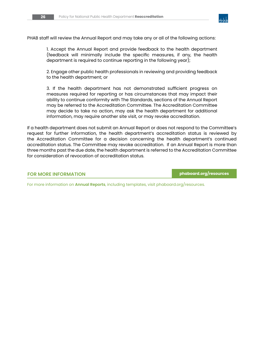

PHAB staff will review the Annual Report and may take any or all of the following actions:

1. Accept the Annual Report and provide feedback to the health department (feedback will minimally include the specific measures, if any, the health department is required to continue reporting in the following year);

2. Engage other public health professionals in reviewing and providing feedback to the health department; or

3. If the health department has not demonstrated sufficient progress on measures required for reporting or has circumstances that may impact their ability to continue conformity with The Standards, sections of the Annual Report may be referred to the Accreditation Committee. The Accreditation Committee may decide to take no action, may ask the health department for additional information, may require another site visit, or may revoke accreditation.

If a health department does not submit an Annual Report or does not respond to the Committee's request for further information, the health department's accreditation status is reviewed by the Accreditation Committee for a decision concerning the health department's continued accreditation status. The Committee may revoke accreditation. If an Annual Report is more than three months past the due date, the health department is referred to the Accreditation Committee for consideration of revocation of accreditation status.

#### **FOR MORE INFORMATION [phaboard.org/resources](http://phaboard.org/resources)**

For more information on **Annual Reports**, including templates, visit [phaboard.org/resources.](http://phaboard.org/resources)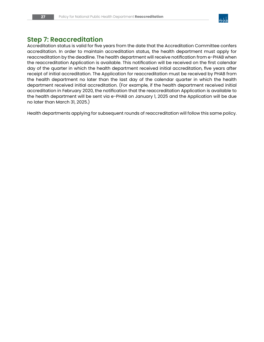

# **Step 7: Reaccreditation**

Accreditation status is valid for five years from the date that the Accreditation Committee confers accreditation. In order to maintain accreditation status, the health department must apply for reaccreditation by the deadline. The health department will receive notification from e-PHAB when the reaccreditation Application is available. This notification will be received on the first calendar day of the quarter in which the health department received initial accreditation, five years after receipt of initial accreditation. The Application for reaccreditation must be received by PHAB from the health department no later than the last day of the calendar quarter in which the health department received initial accreditation. (For example, if the health department received initial accreditation in February 2020, the notification that the reaccreditation Application is available to the health department will be sent via e-PHAB on January 1, 2025 and the Application will be due no later than March 31, 2025.)

Health departments applying for subsequent rounds of reaccreditation will follow this same policy.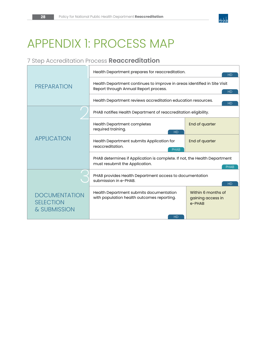

# APPENDIX 1: PROCESS MAP

# 7 Step Accreditation Process **Reaccreditation**

|                                                          | Health Department prepares for reaccreditation.<br><b>HD</b>                                                                   |                                                      |  |
|----------------------------------------------------------|--------------------------------------------------------------------------------------------------------------------------------|------------------------------------------------------|--|
| <b>PREPARATION</b>                                       | Health Department continues to improve in areas identified in Site Visit<br>Report through Annual Report process.<br><b>HD</b> |                                                      |  |
|                                                          | Health Department reviews accreditation education resources.<br><b>HD</b>                                                      |                                                      |  |
|                                                          | PHAB notifies Health Department of reaccreditation eligibility.                                                                |                                                      |  |
|                                                          | <b>Health Department completes</b><br>required training.<br><b>HD</b>                                                          | End of quarter                                       |  |
| <b>APPLICATION</b>                                       | Health Department submits Application for<br>reaccreditation.<br><b>PHAB</b>                                                   | End of quarter                                       |  |
|                                                          | PHAB determines if Application is complete. If not, the Health Department<br>must resubmit the Application.<br><b>PHAB</b>     |                                                      |  |
|                                                          | PHAB provides Health Department access to documentation<br>submission in e-PHAB.<br><b>HD</b>                                  |                                                      |  |
| <b>DOCUMENTATION</b><br><b>SELECTION</b><br>& SUBMISSION | Health Department submits documentation<br>with population health outcomes reporting.                                          | Within 6 months of<br>gaining access in<br>$e$ -PHAR |  |
|                                                          | <b>HD</b>                                                                                                                      |                                                      |  |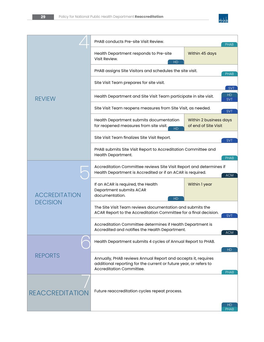

|                                         | PHAB conducts Pre-site Visit Review.                                                                                                                           |                                                | <b>PHAB</b>       |
|-----------------------------------------|----------------------------------------------------------------------------------------------------------------------------------------------------------------|------------------------------------------------|-------------------|
| <b>REVIEW</b>                           | Health Department responds to Pre-site<br>Visit Review.<br><b>HD</b>                                                                                           | Within 45 days                                 |                   |
|                                         | PHAB assigns Site Visitors and schedules the site visit.                                                                                                       |                                                | <b>PHAB</b>       |
|                                         | Site Visit Team prepares for site visit.                                                                                                                       |                                                | <b>SVT</b>        |
|                                         | Health Department and Site Visit Team participate in site visit.                                                                                               |                                                | HD<br><b>SVT</b>  |
|                                         | Site Visit Team reopens measures from Site Visit, as needed.                                                                                                   |                                                | <b>SVT</b>        |
|                                         | Health Department submits documentation<br>for reopened measures from site visit.<br><b>HD</b>                                                                 | Within 2 business days<br>of end of Site Visit |                   |
|                                         | Site Visit Team finalizes Site Visit Report.<br><b>SVT</b>                                                                                                     |                                                |                   |
|                                         | PHAB submits Site Visit Report to Accreditation Committee and<br>Health Department.                                                                            |                                                | PHAB              |
|                                         | Accreditation Committee reviews Site Visit Report and determines if<br>Health Department is Accredited or if an ACAR is required.<br><b>ACM</b>                |                                                |                   |
| <b>ACCREDITATION</b><br><b>DECISION</b> | If an ACAR is required, the Health<br>Department submits ACAR<br>documentation.<br>HD                                                                          | Within 1 year                                  |                   |
|                                         | The Site Visit Team reviews documentation and submits the<br>ACAR Report to the Accreditation Committee for a final decision.<br><b>SVT</b>                    |                                                |                   |
|                                         | Accreditation Committee determines if Health Department is<br>Accredited and notifies the Health Department.                                                   |                                                | <b>ACM</b>        |
| <b>REPORTS</b>                          | Health Department submits 4 cycles of Annual Report to PHAB.                                                                                                   |                                                | HD.               |
|                                         | Annually, PHAB reviews Annual Report and accepts it, requires<br>additional reporting for the current or future year, or refers to<br>Accreditation Committee. |                                                | PHAB              |
| <b>REACCREDITATION</b>                  | Future reaccreditation cycles repeat process.                                                                                                                  |                                                |                   |
|                                         |                                                                                                                                                                |                                                | HD<br><b>PHAB</b> |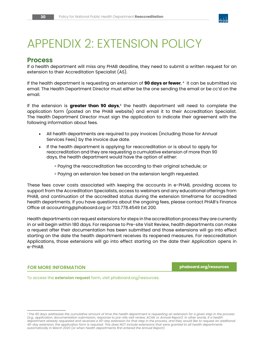

# APPENDIX 2: EXTENSION POLICY

### **Process**

If a health department will miss any PHAB deadline, they need to submit a written request for an extension to their Accreditation Specialist (AS).

If the health department is requesting an extension of **90 days or fewer**, 4 it can be submitted via email. The Health Department Director must either be the one sending the email or be cc'd on the email.

If the extension is **greater than 90 days**,4 the health department will need to complete the application form (posted on the PHAB website) and email it to their Accreditation Specialist. The Health Department Director must sign the application to indicate their agreement with the following information about fees.

- All health departments are required to pay invoices (including those for Annual Services Fees) by the invoice due date.
- If the health department is applying for reaccreditation or is about to apply for reaccreditation and they are requesting a cumulative extension of more than 90 days, the health department would have the option of either:
	- ॰ Paying the reaccreditation fee according to their original schedule; or
	- ॰ Paying an extension fee based on the extension length requested.

These fees cover costs associated with keeping the accounts in e-PHAB, providing access to support from the Accreditation Specialists, access to webinars and any educational offerings from PHAB, and continuation of the accredited status during the extension timeframe for accredited health departments. If you have questions about the ongoing fees, please contact PHAB's Finance Office at accounting@phaboard.org or 703.778.4549 Ext 200.

Health departments can request extensions for steps in the accreditation process they are currently in or will begin within 180 days. For response to Pre-site Visit Review, health departments can make a request after their documentation has been submitted and those extensions will go into effect starting on the date the health department receives its reopened measures. For reaccreditation Applications, those extensions will go into effect starting on the date their Application opens in e-PHAB.

#### **FOR MORE INFORMATION [phaboard.org/resources](http://phaboard.org/resources)**

To access the **extension request** form, visit [phaboard.org/resources.](http://phaboard.org/resources)

*<sup>4</sup> The 90 days addresses the cumulative amount of time the health department is requesting an extension for a given step in the process (e.g., application, documentation submission, response to pre-site visit review, ACAR, or Annual Report). In other words, if a health department already requested and received a 60-day extension for that step in the process, and they would like to request an additional 45-day extension, the application form is required. This does NOT include extensions that were granted to all health departments automatically in March 2020 (or when health departments first entered the Annual Report).*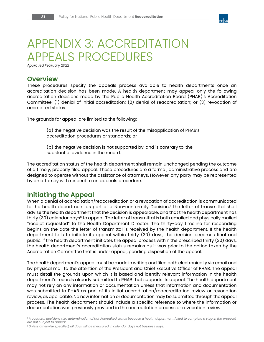

# APPENDIX 3: ACCREDITATION APPEALS PROCEDURES

*Approved February 2022*

# **Overview**

These procedures specify the appeals process available to health departments once an accreditation decision has been made. A health department may appeal only the following accreditation decisions made by the Public Health Accreditation Board (PHAB)'s Accreditation Committee: (1) denial of initial accreditation; (2) denial of reaccreditation; or (3) revocation of accredited status.

The grounds for appeal are limited to the following:

(a) the negative decision was the result of the misapplication of PHAB's accreditation procedures or standards; or

(b) the negative decision is not supported by, and is contrary to, the substantial evidence in the record.

The accreditation status of the health department shall remain unchanged pending the outcome of a timely, properly filed appeal. These procedures are a formal, administrative process and are designed to operate without the assistance of attorneys. However, any party may be represented by an attorney with respect to an appeals procedure.

# **Initiating the Appeal**

When a denial of accreditation/reaccreditation or a revocation of accreditation is communicated to the health department as part of a Non-conformity Decision,<sup>5</sup> the letter of transmittal shall advise the health department that the decision is appealable, and that the health department has thirty (30) calendar days<sup>6</sup> to appeal. The letter of transmittal is both emailed and physically mailed "receipt requested" to the Health Department Director. The thirty-day timeline for responding begins on the date the letter of transmittal is received by the health department. If the health department fails to initiate its appeal within thirty (30) days, the decision becomes final and public. If the health department initiates the appeal process within the prescribed thirty (30) days, the health department's accreditation status remains as it was prior to the action taken by the Accreditation Committee that is under appeal, pending disposition of the appeal.

The health department's appeal must be made in writing and filed both electronically via email and by physical mail to the attention of the President and Chief Executive Officer of PHAB. The appeal must detail the grounds upon which it is based and identify relevant information in the health department's records already submitted to PHAB that supports its appeal. The health department may not rely on any information or documentation unless that information and documentation was submitted to PHAB as part of its initial accreditation/reaccreditation review or revocation review, as applicable. No new information or documentation may be submitted through the appeal process. The health department should include a specific reference to where the information or documentation was previously provided in the accreditation process or revocation review.

*<sup>5</sup> Procedural decisions (i.e., determination of Not Accredited status because a health department failed to complete a step in the process) are not subject to appeal.*

*<sup>6</sup> Unless otherwise specified, all days will be measured in calendar days not business days.*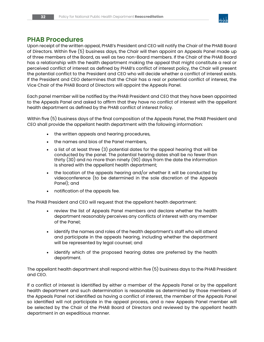

# **PHAB Procedures**

Upon receipt of the written appeal, PHAB's President and CEO will notify the Chair of the PHAB Board of Directors. Within five (5) business days, the Chair will then appoint an Appeals Panel made up of three members of the Board, as well as two non-Board members. If the Chair of the PHAB Board has a relationship with the health department making the appeal that might constitute a real or perceived conflict of interest as defined by PHAB's conflict of interest policy, the Chair will present the potential conflict to the President and CEO who will decide whether a conflict of interest exists. If the President and CEO determines that the Chair has a real or potential conflict of interest, the Vice Chair of the PHAB Board of Directors will appoint the Appeals Panel.

Each panel member will be notified by the PHAB President and CEO that they have been appointed to the Appeals Panel and asked to affirm that they have no conflict of interest with the appellant health department as defined by the PHAB conflict of interest Policy.

Within five (5) business days of the final composition of the Appeals Panel, the PHAB President and CEO shall provide the appellant health department with the following information:

- the written appeals and hearing procedures,
- the names and bios of the Panel members,
- a list of at least three (3) potential dates for the appeal hearing that will be conducted by the panel. The potential hearing dates shall be no fewer than thirty (30) and no more than ninety (90) days from the date the information is shared with the appellant health department;
- the location of the appeals hearing and/or whether it will be conducted by videoconference (to be determined in the sole discretion of the Appeals Panel); and
- notification of the appeals fee.

The PHAB President and CEO will request that the appellant health department:

- review the list of Appeals Panel members and declare whether the health department reasonably perceives any conflicts of interest with any member of the Panel;
- identify the names and roles of the health department's staff who will attend and participate in the appeals hearing, including whether the department will be represented by legal counsel; and
- identify which of the proposed hearing dates are preferred by the health department.

The appellant health department shall respond within five (5) business days to the PHAB President and CEO.

If a conflict of interest is identified by either a member of the Appeals Panel or by the appellant health department and such determination is reasonable as determined by those members of the Appeals Panel not identified as having a conflict of interest, the member of the Appeals Panel so identified will not participate in the appeal process, and a new Appeals Panel member will be selected by the Chair of the PHAB Board of Directors and reviewed by the appellant health department in an expeditious manner.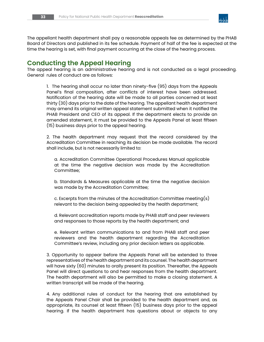

The appellant health department shall pay a reasonable appeals fee as determined by the PHAB Board of Directors and published in its fee schedule. Payment of half of the fee is expected at the time the hearing is set, with final payment occurring at the close of the hearing process.

# **Conducting the Appeal Hearing**

The appeal hearing is an administrative hearing and is not conducted as a legal proceeding. General rules of conduct are as follows:

1. The hearing shall occur no later than ninety-five (95) days from the Appeals Panel's final composition, after conflicts of interest have been addressed. Notification of the hearing date will be made to all parties concerned at least thirty (30) days prior to the date of the hearing. The appellant health department may amend its original written appeal statement submitted when it notified the PHAB President and CEO of its appeal. If the department elects to provide an amended statement, it must be provided to the Appeals Panel at least fifteen (15) business days prior to the appeal hearing.

2. The health department may request that the record considered by the Accreditation Committee in reaching its decision be made available. The record shall include, but is not necessarily limited to:

a. Accreditation Committee Operational Procedures Manual applicable at the time the negative decision was made by the Accreditation Committee;

b. Standards & Measures applicable at the time the negative decision was made by the Accreditation Committee;

c. Excerpts from the minutes of the Accreditation Committee meeting(s) relevant to the decision being appealed by the health department;

d. Relevant accreditation reports made by PHAB staff and peer reviewers and responses to those reports by the health department; and

e. Relevant written communications to and from PHAB staff and peer reviewers and the health department regarding the Accreditation Committee's review, including any prior decision letters as applicable.

3. Opportunity to appear before the Appeals Panel will be extended to three representatives of the health department and its counsel. The health department will have sixty (60) minutes to orally present its position. Thereafter, the Appeals Panel will direct questions to and hear responses from the health department. The health department will also be permitted to make a closing statement. A written transcript will be made of the hearing.

4. Any additional rules of conduct for the hearing that are established by the Appeals Panel Chair shall be provided to the health department and, as appropriate, its counsel at least fifteen (15) business days prior to the appeal hearing. If the health department has questions about or objects to any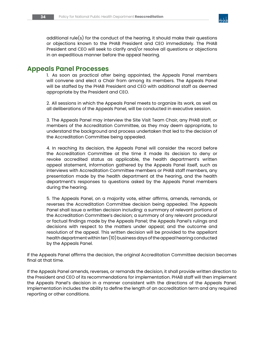

additional rule(s) for the conduct of the hearing, it should make their questions or objections known to the PHAB President and CEO immediately. The PHAB President and CEO will seek to clarify and/or resolve all questions or objections in an expeditious manner before the appeal hearing.

### **Appeals Panel Processes**

1. As soon as practical after being appointed, the Appeals Panel members will convene and elect a Chair from among its members. The Appeals Panel will be staffed by the PHAB President and CEO with additional staff as deemed appropriate by the President and CEO.

2. All sessions in which the Appeals Panel meets to organize its work, as well as all deliberations of the Appeals Panel, will be conducted in executive session.

3. The Appeals Panel may interview the Site Visit Team Chair, any PHAB staff, or members of the Accreditation Committee, as they may deem appropriate, to understand the background and process undertaken that led to the decision of the Accreditation Committee being appealed.

4. In reaching its decision, the Appeals Panel will consider the record before the Accreditation Committee at the time it made its decision to deny or revoke accredited status as applicable, the health department's written appeal statement, information gathered by the Appeals Panel itself, such as interviews with Accreditation Committee members or PHAB staff members, any presentation made by the health department at the hearing, and the health department's responses to questions asked by the Appeals Panel members during the hearing.

5. The Appeals Panel, on a majority vote, either affirms, amends, remands, or reverses the Accreditation Committee decision being appealed. The Appeals Panel shall issue a written decision including: a summary of relevant portions of the Accreditation Committee's decision; a summary of any relevant procedural or factual findings made by the Appeals Panel; the Appeals Panel's rulings and decisions with respect to the matters under appeal; and the outcome and resolution of the appeal. This written decision will be provided to the appellant health department within ten (10) business days of the appeal hearing conducted by the Appeals Panel.

If the Appeals Panel affirms the decision, the original Accreditation Committee decision becomes final at that time.

If the Appeals Panel amends, reverses, or remands the decision, it shall provide written direction to the President and CEO of its recommendations for implementation. PHAB staff will then implement the Appeals Panel's decision in a manner consistent with the directions of the Appeals Panel. Implementation includes the ability to define the length of an accreditation term and any required reporting or other conditions.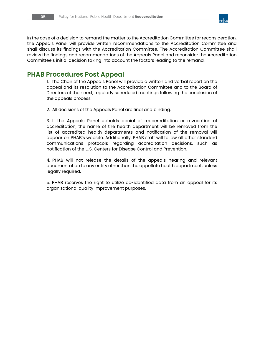

In the case of a decision to remand the matter to the Accreditation Committee for reconsideration, the Appeals Panel will provide written recommendations to the Accreditation Committee and shall discuss its findings with the Accreditation Committee. The Accreditation Committee shall review the findings and recommendations of the Appeals Panel and reconsider the Accreditation Committee's initial decision taking into account the factors leading to the remand.

# **PHAB Procedures Post Appeal**

1. The Chair of the Appeals Panel will provide a written and verbal report on the appeal and its resolution to the Accreditation Committee and to the Board of Directors at their next, regularly scheduled meetings following the conclusion of the appeals process.

2. All decisions of the Appeals Panel are final and binding.

3. If the Appeals Panel upholds denial of reaccreditation or revocation of accreditation, the name of the health department will be removed from the list of accredited health departments and notification of the removal will appear on PHAB's website. Additionally, PHAB staff will follow all other standard communications protocols regarding accreditation decisions, such as notification of the U.S. Centers for Disease Control and Prevention.

4. PHAB will not release the details of the appeals hearing and relevant documentation to any entity other than the appellate health department, unless legally required.

5. PHAB reserves the right to utilize de-identified data from an appeal for its organizational quality improvement purposes.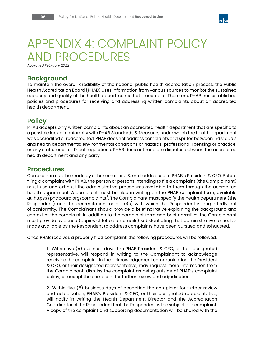

# APPENDIX 4: COMPLAINT POLICY AND PROCEDURES

*Approved February 2022*

# **Background**

To maintain the overall credibility of the national public health accreditation process, the Public Health Accreditation Board (PHAB) uses information from various sources to monitor the sustained capacity and quality of the health departments that it accredits. Therefore, PHAB has established policies and procedures for receiving and addressing written complaints about an accredited health department.

# **Policy**

PHAB accepts only written complaints about an accredited health department that are specific to a possible lack of conformity with PHAB Standards & Measures under which the health department was accredited or reaccredited. PHAB does not address complaints or disputes between individuals and health departments; environmental conditions or hazards; professional licensing or practice; or any state, local, or Tribal regulations. PHAB does not mediate disputes between the accredited health department and any party.

# **Procedures**

Complaints must be made by either email or U.S. mail addressed to PHAB's President & CEO. Before filing a complaint with PHAB, the person or persons intending to file a complaint (the Complainant) must use and exhaust the administrative procedures available to them through the accredited health department. A complaint must be filed in writing on the PHAB complaint form, available at: [https://phaboard.org/complaints/.](https://phaboard.org/complaints/) The Complainant must specify the health department (the Respondent) and the accreditation measure(s) with which the Respondent is purportedly out of conformity. The Complainant should provide a brief narrative explaining the background and context of the complaint. In addition to the complaint form and brief narrative, the Complainant must provide evidence (copies of letters or emails) substantiating that administrative remedies made available by the Respondent to address complaints have been pursued and exhausted.

Once PHAB receives a properly filed complaint, the following procedures will be followed.

1. Within five (5) business days, the PHAB President & CEO, or their designated representative, will respond in writing to the Complainant to acknowledge receiving the complaint. In the acknowledgement communication, the President & CEO, or their designated representative, may request more information from the Complainant; dismiss the complaint as being outside of PHAB's complaint policy; or accept the complaint for further review and adjudication.

2. Within five (5) business days of accepting the complaint for further review and adjudication, PHAB's President & CEO, or their designated representative, will notify in writing the Health Department Director and the Accreditation Coordinator of the Respondent that the Respondent is the subject of a complaint. A copy of the complaint and supporting documentation will be shared with the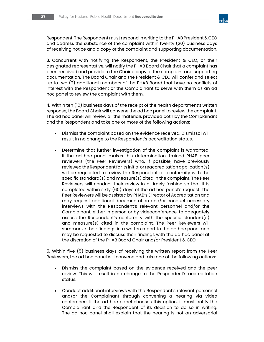

Respondent. The Respondent must respond in writing to the PHAB President & CEO and address the substance of the complaint within twenty (20) business days of receiving notice and a copy of the complaint and supporting documentation.

3. Concurrent with notifying the Respondent, the President & CEO, or their designated representative, will notify the PHAB Board Chair that a complaint has been received and provide to the Chair a copy of the complaint and supporting documentation. The Board Chair and the President & CEO will confer and select up to two (2) additional members of the PHAB Board that have no conflicts of interest with the Respondent or the Complainant to serve with them as an ad hoc panel to review the complaint with them.

4. Within ten (10) business days of the receipt of the health department's written response, the Board Chair will convene the ad hoc panel to review the complaint. The ad hoc panel will review all the materials provided both by the Complainant and the Respondent and take one or more of the following actions:

- Dismiss the complaint based on the evidence received. Dismissal will result in no change to the Respondent's accreditation status.
- Determine that further investigation of the complaint is warranted. If the ad hoc panel makes this determination, trained PHAB peer reviewers (the Peer Reviewers) who, if possible, have previously reviewed the Respondent for its initial or reaccreditation application(s) will be requested to review the Respondent for conformity with the specific standard(s) and measure(s) cited in the complaint. The Peer Reviewers will conduct their review in a timely fashion so that it is completed within sixty (60) days of the ad hoc panel's request. The Peer Reviewers will be assisted by PHAB's Director of Accreditation and may request additional documentation and/or conduct necessary interviews with the Respondent's relevant personnel and/or the Complainant, either in person or by videoconference, to adequately assess the Respondent's conformity with the specific standard(s) and measure(s) cited in the complaint. The Peer Reviewers will summarize their findings in a written report to the ad hoc panel and may be requested to discuss their findings with the ad hoc panel at the discretion of the PHAB Board Chair and/or President & CEO.

5. Within five (5) business days of receiving the written report from the Peer Reviewers, the ad hoc panel will convene and take one of the following actions:

- Dismiss the complaint based on the evidence received and the peer review. This will result in no change to the Respondent's accreditation status.
- Conduct additional interviews with the Respondent's relevant personnel and/or the Complainant through convening a hearing via video conference. If the ad hoc panel chooses this option, it must notify the Complainant and the Respondent of its decision to do so in writing. The ad hoc panel shall explain that the hearing is not an adversarial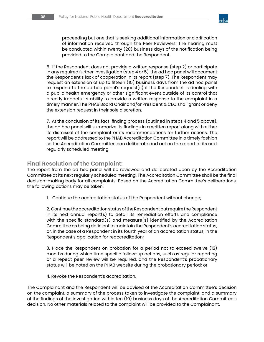

proceeding but one that is seeking additional information or clarification of information received through the Peer Reviewers. The hearing must be conducted within twenty (20) business days of the notification being provided to the Complainant and the Respondent.

6. If the Respondent does not provide a written response (step 2) or participate in any required further investigation (step 4 or 5), the ad hoc panel will document the Respondent's lack of cooperation in its report (step 7). The Respondent may request an extension of up to fifteen (15) business days from the ad hoc panel to respond to the ad hoc panel's request(s) if the Respondent is dealing with a public health emergency or other significant event outside of its control that directly impacts its ability to provide a written response to the complaint in a timely manner. The PHAB Board Chair and/or President & CEO shall grant or deny the extension request in their sole discretion.

7. At the conclusion of its fact-finding process (outlined in steps 4 and 5 above), the ad hoc panel will summarize its findings in a written report along with either its dismissal of the complaint or its recommendations for further actions. The report will be addressed to the PHAB Accreditation Committee in a timely fashion so the Accreditation Committee can deliberate and act on the report at its next regularly scheduled meeting.

#### **Final Resolution of the Complaint:**

The report from the ad hoc panel will be reviewed and deliberated upon by the Accreditation Committee at its next regularly scheduled meeting. The Accreditation Committee shall be the final decision-making body for all complaints. Based on the Accreditation Committee's deliberations, the following actions may be taken:

1. Continue the accreditation status of the Respondent without change;

2. Continue the accreditation status of the Respondent but require the Respondent in its next annual report(s) to detail its remediation efforts and compliance with the specific standard(s) and measure(s) identified by the Accreditation Committee as being deficient to maintain the Respondent's accreditation status, or, in the case of a Respondent in its fourth year of an accreditation status, in the Respondent's application for reaccreditation;

3. Place the Respondent on probation for a period not to exceed twelve (12) months during which time specific follow-up actions, such as regular reporting or a repeat peer review will be required, and the Respondent's probationary status will be noted on the PHAB website during the probationary period; or

4. Revoke the Respondent's accreditation.

The Complainant and the Respondent will be advised of the Accreditation Committee's decision on the complaint, a summary of the process taken to investigate the complaint, and a summary of the findings of the investigation within ten (10) business days of the Accreditation Committee's decision. No other materials related to the complaint will be provided to the Complainant.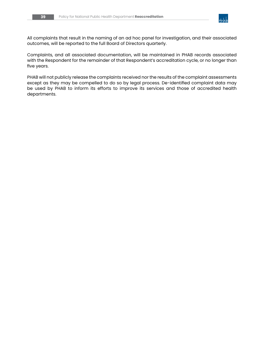

All complaints that result in the naming of an ad hoc panel for investigation, and their associated outcomes, will be reported to the full Board of Directors quarterly.

Complaints, and all associated documentation, will be maintained in PHAB records associated with the Respondent for the remainder of that Respondent's accreditation cycle, or no longer than five years.

PHAB will not publicly release the complaints received nor the results of the complaint assessments except as they may be compelled to do so by legal process. De-identified complaint data may be used by PHAB to inform its efforts to improve its services and those of accredited health departments.